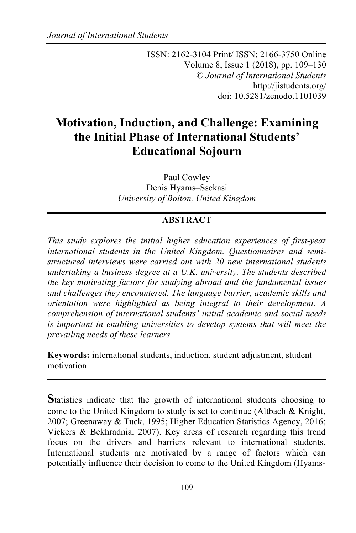ISSN: 2162-3104 Print/ ISSN: 2166-3750 Online Volume 8, Issue 1 (2018), pp. 109–130 © *Journal of International Students* http://jistudents.org/ doi: 10.5281/zenodo.1101039

# **Motivation, Induction, and Challenge: Examining the Initial Phase of International Students' Educational Sojourn**

Paul Cowley Denis Hyams–Ssekasi *University of Bolton, United Kingdom*

# **ABSTRACT**

*This study explores the initial higher education experiences of first-year international students in the United Kingdom. Questionnaires and semistructured interviews were carried out with 20 new international students undertaking a business degree at a U.K. university. The students described the key motivating factors for studying abroad and the fundamental issues and challenges they encountered. The language barrier, academic skills and orientation were highlighted as being integral to their development. A comprehension of international students' initial academic and social needs is important in enabling universities to develop systems that will meet the prevailing needs of these learners.*

**Keywords:** international students, induction, student adjustment, student motivation

**S**tatistics indicate that the growth of international students choosing to come to the United Kingdom to study is set to continue (Altbach & Knight, 2007; Greenaway & Tuck, 1995; Higher Education Statistics Agency, 2016; Vickers & Bekhradnia, 2007). Key areas of research regarding this trend focus on the drivers and barriers relevant to international students. International students are motivated by a range of factors which can potentially influence their decision to come to the United Kingdom (Hyams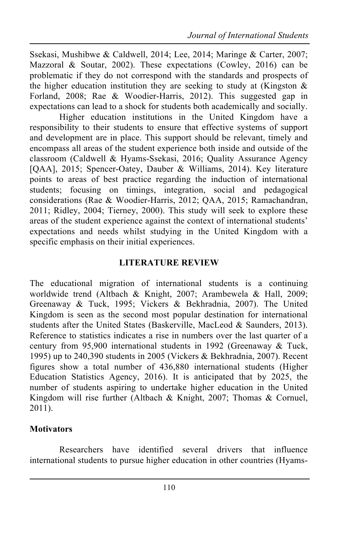Ssekasi, Mushibwe & Caldwell, 2014; Lee, 2014; Maringe & Carter, 2007; Mazzoral & Soutar, 2002). These expectations (Cowley, 2016) can be problematic if they do not correspond with the standards and prospects of the higher education institution they are seeking to study at (Kingston  $\&$ Forland, 2008; Rae & Woodier-Harris, 2012). This suggested gap in expectations can lead to a shock for students both academically and socially.

Higher education institutions in the United Kingdom have a responsibility to their students to ensure that effective systems of support and development are in place. This support should be relevant, timely and encompass all areas of the student experience both inside and outside of the classroom (Caldwell & Hyams-Ssekasi, 2016; Quality Assurance Agency [QAA], 2015; Spencer-Oatey, Dauber & Williams, 2014). Key literature points to areas of best practice regarding the induction of international students; focusing on timings, integration, social and pedagogical considerations (Rae & Woodier-Harris, 2012; QAA, 2015; Ramachandran, 2011; Ridley, 2004; Tierney, 2000). This study will seek to explore these areas of the student experience against the context of international students' expectations and needs whilst studying in the United Kingdom with a specific emphasis on their initial experiences.

#### **LITERATURE REVIEW**

The educational migration of international students is a continuing worldwide trend (Altbach & Knight, 2007; Arambewela & Hall, 2009; Greenaway & Tuck, 1995; Vickers & Bekhradnia, 2007). The United Kingdom is seen as the second most popular destination for international students after the United States (Baskerville, MacLeod & Saunders, 2013). Reference to statistics indicates a rise in numbers over the last quarter of a century from 95,900 international students in 1992 (Greenaway & Tuck, 1995) up to 240,390 students in 2005 (Vickers & Bekhradnia, 2007). Recent figures show a total number of 436,880 international students (Higher Education Statistics Agency, 2016). It is anticipated that by 2025, the number of students aspiring to undertake higher education in the United Kingdom will rise further (Altbach & Knight, 2007; Thomas & Cornuel, 2011).

# **Motivators**

Researchers have identified several drivers that influence international students to pursue higher education in other countries (Hyams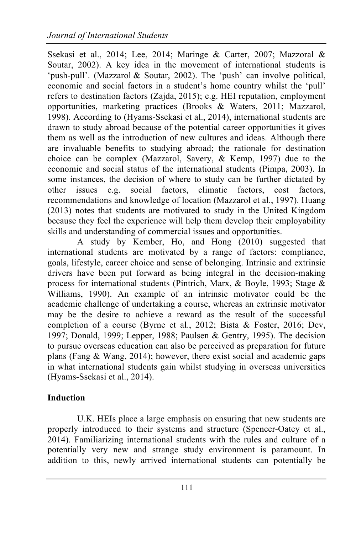Ssekasi et al., 2014; Lee, 2014; Maringe & Carter, 2007; Mazzoral & Soutar, 2002). A key idea in the movement of international students is 'push-pull'. (Mazzarol & Soutar, 2002). The 'push' can involve political, economic and social factors in a student's home country whilst the 'pull' refers to destination factors (Zajda, 2015); e.g. HEI reputation, employment opportunities, marketing practices (Brooks & Waters, 2011; Mazzarol, 1998). According to (Hyams-Ssekasi et al., 2014), international students are drawn to study abroad because of the potential career opportunities it gives them as well as the introduction of new cultures and ideas. Although there are invaluable benefits to studying abroad; the rationale for destination choice can be complex (Mazzarol, Savery, & Kemp, 1997) due to the economic and social status of the international students (Pimpa, 2003). In some instances, the decision of where to study can be further dictated by other issues e.g. social factors, climatic factors, cost factors, recommendations and knowledge of location (Mazzarol et al., 1997). Huang (2013) notes that students are motivated to study in the United Kingdom because they feel the experience will help them develop their employability skills and understanding of commercial issues and opportunities.

A study by Kember, Ho, and Hong (2010) suggested that international students are motivated by a range of factors: compliance, goals, lifestyle, career choice and sense of belonging. Intrinsic and extrinsic drivers have been put forward as being integral in the decision-making process for international students (Pintrich, Marx, & Boyle, 1993; Stage & Williams, 1990). An example of an intrinsic motivator could be the academic challenge of undertaking a course, whereas an extrinsic motivator may be the desire to achieve a reward as the result of the successful completion of a course (Byrne et al., 2012; Bista & Foster, 2016; Dev, 1997; Donald, 1999; Lepper, 1988; Paulsen & Gentry, 1995). The decision to pursue overseas education can also be perceived as preparation for future plans (Fang & Wang, 2014); however, there exist social and academic gaps in what international students gain whilst studying in overseas universities (Hyams-Ssekasi et al., 2014).

### **Induction**

U.K. HEIs place a large emphasis on ensuring that new students are properly introduced to their systems and structure (Spencer-Oatey et al., 2014). Familiarizing international students with the rules and culture of a potentially very new and strange study environment is paramount. In addition to this, newly arrived international students can potentially be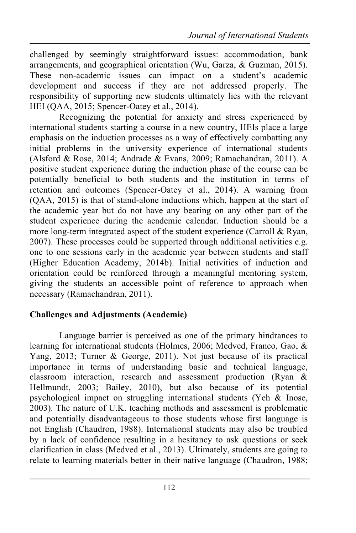challenged by seemingly straightforward issues: accommodation, bank arrangements, and geographical orientation (Wu, Garza, & Guzman, 2015). These non-academic issues can impact on a student's academic development and success if they are not addressed properly. The responsibility of supporting new students ultimately lies with the relevant HEI (OAA, 2015; Spencer-Oatey et al., 2014).

Recognizing the potential for anxiety and stress experienced by international students starting a course in a new country, HEIs place a large emphasis on the induction processes as a way of effectively combatting any initial problems in the university experience of international students (Alsford & Rose, 2014; Andrade & Evans, 2009; Ramachandran, 2011). A positive student experience during the induction phase of the course can be potentially beneficial to both students and the institution in terms of retention and outcomes (Spencer-Oatey et al., 2014). A warning from (QAA, 2015) is that of stand-alone inductions which, happen at the start of the academic year but do not have any bearing on any other part of the student experience during the academic calendar. Induction should be a more long-term integrated aspect of the student experience (Carroll & Ryan, 2007). These processes could be supported through additional activities e.g. one to one sessions early in the academic year between students and staff (Higher Education Academy, 2014b). Initial activities of induction and orientation could be reinforced through a meaningful mentoring system, giving the students an accessible point of reference to approach when necessary (Ramachandran, 2011).

# **Challenges and Adjustments (Academic)**

Language barrier is perceived as one of the primary hindrances to learning for international students (Holmes, 2006; Medved, Franco, Gao, & Yang, 2013; Turner & George, 2011). Not just because of its practical importance in terms of understanding basic and technical language, classroom interaction, research and assessment production (Ryan & Hellmundt, 2003; Bailey, 2010), but also because of its potential psychological impact on struggling international students (Yeh & Inose, 2003). The nature of U.K. teaching methods and assessment is problematic and potentially disadvantageous to those students whose first language is not English (Chaudron, 1988). International students may also be troubled by a lack of confidence resulting in a hesitancy to ask questions or seek clarification in class (Medved et al., 2013). Ultimately, students are going to relate to learning materials better in their native language (Chaudron, 1988;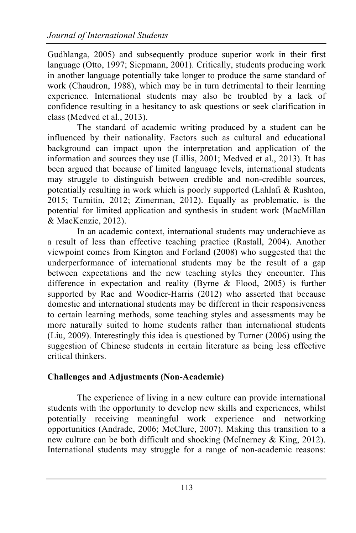Gudhlanga, 2005) and subsequently produce superior work in their first language (Otto, 1997; Siepmann, 2001). Critically, students producing work in another language potentially take longer to produce the same standard of work (Chaudron, 1988), which may be in turn detrimental to their learning experience. International students may also be troubled by a lack of confidence resulting in a hesitancy to ask questions or seek clarification in class (Medved et al., 2013).

The standard of academic writing produced by a student can be influenced by their nationality. Factors such as cultural and educational background can impact upon the interpretation and application of the information and sources they use (Lillis, 2001; Medved et al., 2013). It has been argued that because of limited language levels, international students may struggle to distinguish between credible and non-credible sources, potentially resulting in work which is poorly supported (Lahlafi & Rushton, 2015; Turnitin, 2012; Zimerman, 2012). Equally as problematic, is the potential for limited application and synthesis in student work (MacMillan & MacKenzie, 2012).

In an academic context, international students may underachieve as a result of less than effective teaching practice (Rastall, 2004). Another viewpoint comes from Kington and Forland (2008) who suggested that the underperformance of international students may be the result of a gap between expectations and the new teaching styles they encounter. This difference in expectation and reality (Byrne & Flood, 2005) is further supported by Rae and Woodier-Harris (2012) who asserted that because domestic and international students may be different in their responsiveness to certain learning methods, some teaching styles and assessments may be more naturally suited to home students rather than international students (Liu, 2009). Interestingly this idea is questioned by Turner (2006) using the suggestion of Chinese students in certain literature as being less effective critical thinkers.

# **Challenges and Adjustments (Non-Academic)**

The experience of living in a new culture can provide international students with the opportunity to develop new skills and experiences, whilst potentially receiving meaningful work experience and networking opportunities (Andrade, 2006; McClure, 2007). Making this transition to a new culture can be both difficult and shocking (McInerney & King, 2012). International students may struggle for a range of non-academic reasons: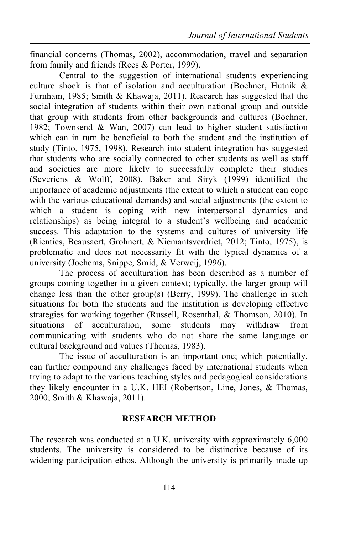financial concerns (Thomas, 2002), accommodation, travel and separation from family and friends (Rees & Porter, 1999).

Central to the suggestion of international students experiencing culture shock is that of isolation and acculturation (Bochner, Hutnik & Furnham, 1985; Smith & Khawaja, 2011). Research has suggested that the social integration of students within their own national group and outside that group with students from other backgrounds and cultures (Bochner, 1982; Townsend & Wan, 2007) can lead to higher student satisfaction which can in turn be beneficial to both the student and the institution of study (Tinto, 1975, 1998). Research into student integration has suggested that students who are socially connected to other students as well as staff and societies are more likely to successfully complete their studies (Severiens & Wolff, 2008). Baker and Siryk (1999) identified the importance of academic adjustments (the extent to which a student can cope with the various educational demands) and social adjustments (the extent to which a student is coping with new interpersonal dynamics and relationships) as being integral to a student's wellbeing and academic success. This adaptation to the systems and cultures of university life (Rienties, Beausaert, Grohnert, & Niemantsverdriet, 2012; Tinto, 1975), is problematic and does not necessarily fit with the typical dynamics of a university (Jochems, Snippe, Smid, & Verweij, 1996).

The process of acculturation has been described as a number of groups coming together in a given context; typically, the larger group will change less than the other group(s) (Berry, 1999). The challenge in such situations for both the students and the institution is developing effective strategies for working together (Russell, Rosenthal, & Thomson, 2010). In situations of acculturation, some students may withdraw from communicating with students who do not share the same language or cultural background and values (Thomas, 1983).

The issue of acculturation is an important one; which potentially, can further compound any challenges faced by international students when trying to adapt to the various teaching styles and pedagogical considerations they likely encounter in a U.K. HEI (Robertson, Line, Jones, & Thomas, 2000; Smith & Khawaja, 2011).

### **RESEARCH METHOD**

The research was conducted at a U.K. university with approximately 6,000 students. The university is considered to be distinctive because of its widening participation ethos. Although the university is primarily made up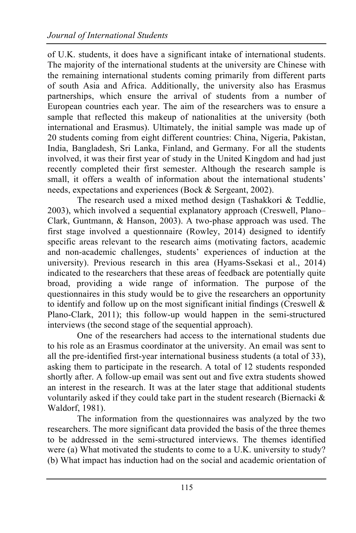of U.K. students, it does have a significant intake of international students. The majority of the international students at the university are Chinese with the remaining international students coming primarily from different parts of south Asia and Africa. Additionally, the university also has Erasmus partnerships, which ensure the arrival of students from a number of European countries each year. The aim of the researchers was to ensure a sample that reflected this makeup of nationalities at the university (both international and Erasmus). Ultimately, the initial sample was made up of 20 students coming from eight different countries: China, Nigeria, Pakistan, India, Bangladesh, Sri Lanka, Finland, and Germany. For all the students involved, it was their first year of study in the United Kingdom and had just recently completed their first semester. Although the research sample is small, it offers a wealth of information about the international students' needs, expectations and experiences (Bock & Sergeant, 2002).

The research used a mixed method design (Tashakkori & Teddlie, 2003), which involved a sequential explanatory approach (Creswell, Plano– Clark, Guntmann, & Hanson, 2003). A two-phase approach was used. The first stage involved a questionnaire (Rowley, 2014) designed to identify specific areas relevant to the research aims (motivating factors, academic and non-academic challenges, students' experiences of induction at the university). Previous research in this area (Hyams-Ssekasi et al., 2014) indicated to the researchers that these areas of feedback are potentially quite broad, providing a wide range of information. The purpose of the questionnaires in this study would be to give the researchers an opportunity to identify and follow up on the most significant initial findings (Creswell  $\&$ Plano-Clark, 2011); this follow-up would happen in the semi-structured interviews (the second stage of the sequential approach).

One of the researchers had access to the international students due to his role as an Erasmus coordinator at the university. An email was sent to all the pre-identified first-year international business students (a total of 33), asking them to participate in the research. A total of 12 students responded shortly after. A follow-up email was sent out and five extra students showed an interest in the research. It was at the later stage that additional students voluntarily asked if they could take part in the student research (Biernacki  $\&$ Waldorf, 1981).

The information from the questionnaires was analyzed by the two researchers. The more significant data provided the basis of the three themes to be addressed in the semi-structured interviews. The themes identified were (a) What motivated the students to come to a U.K. university to study? (b) What impact has induction had on the social and academic orientation of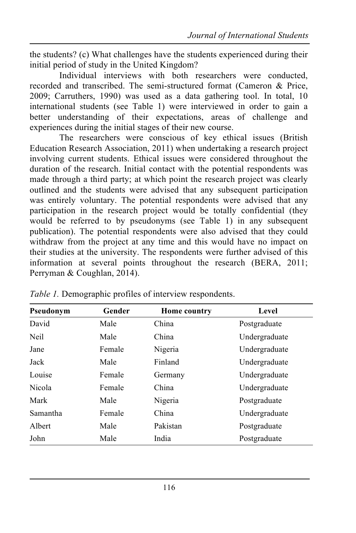the students? (c) What challenges have the students experienced during their initial period of study in the United Kingdom?

Individual interviews with both researchers were conducted, recorded and transcribed. The semi-structured format (Cameron & Price, 2009; Carruthers, 1990) was used as a data gathering tool. In total, 10 international students (see Table 1) were interviewed in order to gain a better understanding of their expectations, areas of challenge and experiences during the initial stages of their new course.

The researchers were conscious of key ethical issues (British Education Research Association, 2011) when undertaking a research project involving current students. Ethical issues were considered throughout the duration of the research. Initial contact with the potential respondents was made through a third party; at which point the research project was clearly outlined and the students were advised that any subsequent participation was entirely voluntary. The potential respondents were advised that any participation in the research project would be totally confidential (they would be referred to by pseudonyms (see Table 1) in any subsequent publication). The potential respondents were also advised that they could withdraw from the project at any time and this would have no impact on their studies at the university. The respondents were further advised of this information at several points throughout the research (BERA, 2011; Perryman & Coughlan, 2014).

| Pseudonym | Gender | Home country | Level         |
|-----------|--------|--------------|---------------|
| David     | Male   | China        | Postgraduate  |
| Neil      | Male   | China        | Undergraduate |
| Jane      | Female | Nigeria      | Undergraduate |
| Jack      | Male   | Finland      | Undergraduate |
| Louise    | Female | Germany      | Undergraduate |
| Nicola    | Female | China        | Undergraduate |
| Mark      | Male   | Nigeria      | Postgraduate  |
| Samantha  | Female | China        | Undergraduate |
| Albert    | Male   | Pakistan     | Postgraduate  |
| John      | Male   | India        | Postgraduate  |

*Table 1.* Demographic profiles of interview respondents.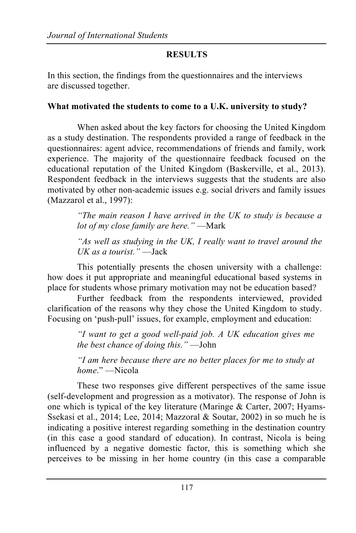# **RESULTS**

In this section, the findings from the questionnaires and the interviews are discussed together.

# **What motivated the students to come to a U.K. university to study?**

When asked about the key factors for choosing the United Kingdom as a study destination. The respondents provided a range of feedback in the questionnaires: agent advice, recommendations of friends and family, work experience. The majority of the questionnaire feedback focused on the educational reputation of the United Kingdom (Baskerville, et al., 2013). Respondent feedback in the interviews suggests that the students are also motivated by other non-academic issues e.g. social drivers and family issues (Mazzarol et al., 1997):

> *"The main reason I have arrived in the UK to study is because a lot of my close family are here."* —Mark

> *"As well as studying in the UK, I really want to travel around the UK as a tourist."* —Jack

This potentially presents the chosen university with a challenge: how does it put appropriate and meaningful educational based systems in place for students whose primary motivation may not be education based?

Further feedback from the respondents interviewed, provided clarification of the reasons why they chose the United Kingdom to study. Focusing on 'push-pull' issues, for example, employment and education:

> *"I want to get a good well-paid job. A UK education gives me the best chance of doing this."* —John

> *"I am here because there are no better places for me to study at home*." —Nicola

These two responses give different perspectives of the same issue (self-development and progression as a motivator). The response of John is one which is typical of the key literature (Maringe & Carter, 2007; Hyams-Ssekasi et al., 2014; Lee, 2014; Mazzoral & Soutar, 2002) in so much he is indicating a positive interest regarding something in the destination country (in this case a good standard of education). In contrast, Nicola is being influenced by a negative domestic factor, this is something which she perceives to be missing in her home country (in this case a comparable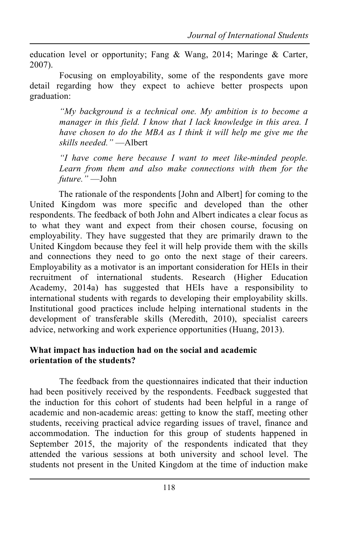education level or opportunity; Fang & Wang, 2014; Maringe & Carter, 2007).

Focusing on employability, some of the respondents gave more detail regarding how they expect to achieve better prospects upon graduation:

> *"My background is a technical one. My ambition is to become a manager in this field. I know that I lack knowledge in this area. I have chosen to do the MBA as I think it will help me give me the skills needed."* —Albert

> *"I have come here because I want to meet like-minded people. Learn from them and also make connections with them for the future."* —John

The rationale of the respondents [John and Albert] for coming to the United Kingdom was more specific and developed than the other respondents. The feedback of both John and Albert indicates a clear focus as to what they want and expect from their chosen course, focusing on employability. They have suggested that they are primarily drawn to the United Kingdom because they feel it will help provide them with the skills and connections they need to go onto the next stage of their careers. Employability as a motivator is an important consideration for HEIs in their recruitment of international students. Research (Higher Education Academy, 2014a) has suggested that HEIs have a responsibility to international students with regards to developing their employability skills. Institutional good practices include helping international students in the development of transferable skills (Meredith, 2010), specialist careers advice, networking and work experience opportunities (Huang, 2013).

#### **What impact has induction had on the social and academic orientation of the students?**

The feedback from the questionnaires indicated that their induction had been positively received by the respondents. Feedback suggested that the induction for this cohort of students had been helpful in a range of academic and non-academic areas: getting to know the staff, meeting other students, receiving practical advice regarding issues of travel, finance and accommodation. The induction for this group of students happened in September 2015, the majority of the respondents indicated that they attended the various sessions at both university and school level. The students not present in the United Kingdom at the time of induction make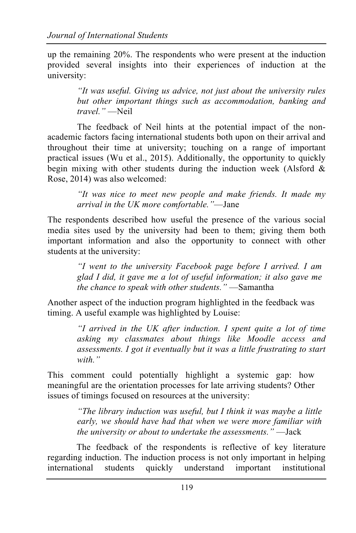up the remaining 20%. The respondents who were present at the induction provided several insights into their experiences of induction at the university:

> *"It was useful. Giving us advice, not just about the university rules but other important things such as accommodation, banking and travel."* —Neil

The feedback of Neil hints at the potential impact of the nonacademic factors facing international students both upon on their arrival and throughout their time at university; touching on a range of important practical issues (Wu et al., 2015). Additionally, the opportunity to quickly begin mixing with other students during the induction week (Alsford  $\&$ Rose, 2014) was also welcomed:

> *"It was nice to meet new people and make friends. It made my arrival in the UK more comfortable."*—Jane

The respondents described how useful the presence of the various social media sites used by the university had been to them; giving them both important information and also the opportunity to connect with other students at the university:

> *"I went to the university Facebook page before I arrived. I am glad I did, it gave me a lot of useful information; it also gave me the chance to speak with other students."* —Samantha

Another aspect of the induction program highlighted in the feedback was timing. A useful example was highlighted by Louise:

> *"I arrived in the UK after induction. I spent quite a lot of time asking my classmates about things like Moodle access and assessments. I got it eventually but it was a little frustrating to start with."*

This comment could potentially highlight a systemic gap: how meaningful are the orientation processes for late arriving students? Other issues of timings focused on resources at the university:

> *"The library induction was useful, but I think it was maybe a little early, we should have had that when we were more familiar with the university or about to undertake the assessments."* —Jack

The feedback of the respondents is reflective of key literature regarding induction. The induction process is not only important in helping international students quickly understand important institutional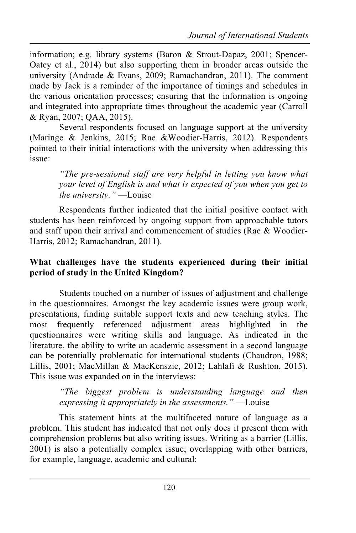information; e.g. library systems (Baron & Strout-Dapaz, 2001; Spencer-Oatey et al., 2014) but also supporting them in broader areas outside the university (Andrade & Evans, 2009; Ramachandran, 2011). The comment made by Jack is a reminder of the importance of timings and schedules in the various orientation processes; ensuring that the information is ongoing and integrated into appropriate times throughout the academic year (Carroll & Ryan, 2007; QAA, 2015).

Several respondents focused on language support at the university (Maringe & Jenkins, 2015; Rae &Woodier-Harris, 2012). Respondents pointed to their initial interactions with the university when addressing this issue:

> *"The pre-sessional staff are very helpful in letting you know what your level of English is and what is expected of you when you get to the university."* —Louise

Respondents further indicated that the initial positive contact with students has been reinforced by ongoing support from approachable tutors and staff upon their arrival and commencement of studies (Rae & Woodier-Harris, 2012; Ramachandran, 2011).

#### **What challenges have the students experienced during their initial period of study in the United Kingdom?**

Students touched on a number of issues of adjustment and challenge in the questionnaires. Amongst the key academic issues were group work, presentations, finding suitable support texts and new teaching styles. The most frequently referenced adjustment areas highlighted in the questionnaires were writing skills and language. As indicated in the literature, the ability to write an academic assessment in a second language can be potentially problematic for international students (Chaudron, 1988; Lillis, 2001; MacMillan & MacKenszie, 2012; Lahlafi & Rushton, 2015). This issue was expanded on in the interviews:

> *"The biggest problem is understanding language and then expressing it appropriately in the assessments."* —Louise

This statement hints at the multifaceted nature of language as a problem. This student has indicated that not only does it present them with comprehension problems but also writing issues. Writing as a barrier (Lillis, 2001) is also a potentially complex issue; overlapping with other barriers, for example, language, academic and cultural: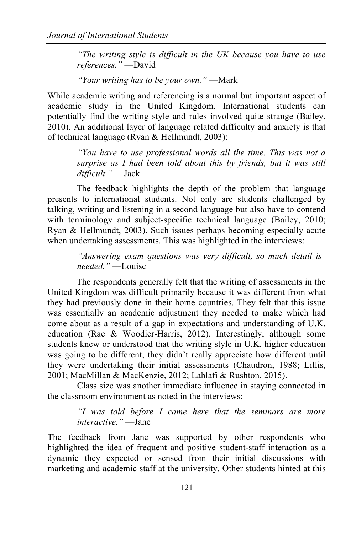*"The writing style is difficult in the UK because you have to use references."* —David

*"Your writing has to be your own."* —Mark

While academic writing and referencing is a normal but important aspect of academic study in the United Kingdom. International students can potentially find the writing style and rules involved quite strange (Bailey, 2010). An additional layer of language related difficulty and anxiety is that of technical language (Ryan & Hellmundt, 2003):

> *"You have to use professional words all the time. This was not a surprise as I had been told about this by friends, but it was still difficult."* —Jack

The feedback highlights the depth of the problem that language presents to international students. Not only are students challenged by talking, writing and listening in a second language but also have to contend with terminology and subject-specific technical language (Bailey, 2010; Ryan & Hellmundt, 2003). Such issues perhaps becoming especially acute when undertaking assessments. This was highlighted in the interviews:

> *"Answering exam questions was very difficult, so much detail is needed."* —Louise

The respondents generally felt that the writing of assessments in the United Kingdom was difficult primarily because it was different from what they had previously done in their home countries. They felt that this issue was essentially an academic adjustment they needed to make which had come about as a result of a gap in expectations and understanding of U.K. education (Rae & Woodier-Harris, 2012). Interestingly, although some students knew or understood that the writing style in U.K. higher education was going to be different; they didn't really appreciate how different until they were undertaking their initial assessments (Chaudron, 1988; Lillis, 2001; MacMillan & MacKenzie, 2012; Lahlafi & Rushton, 2015).

Class size was another immediate influence in staying connected in the classroom environment as noted in the interviews:

> *"I was told before I came here that the seminars are more interactive."* —Jane

The feedback from Jane was supported by other respondents who highlighted the idea of frequent and positive student-staff interaction as a dynamic they expected or sensed from their initial discussions with marketing and academic staff at the university. Other students hinted at this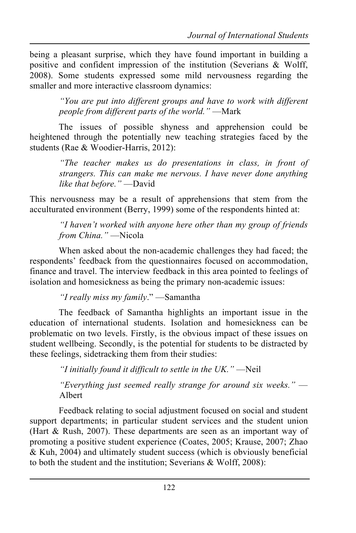being a pleasant surprise, which they have found important in building a positive and confident impression of the institution (Severians & Wolff, 2008). Some students expressed some mild nervousness regarding the smaller and more interactive classroom dynamics:

> *"You are put into different groups and have to work with different people from different parts of the world."* —Mark

The issues of possible shyness and apprehension could be heightened through the potentially new teaching strategies faced by the students (Rae & Woodier-Harris, 2012):

> *"The teacher makes us do presentations in class, in front of strangers. This can make me nervous. I have never done anything like that before."* —David

This nervousness may be a result of apprehensions that stem from the acculturated environment (Berry, 1999) some of the respondents hinted at:

*"I haven't worked with anyone here other than my group of friends from China."* —Nicola

When asked about the non-academic challenges they had faced; the respondents' feedback from the questionnaires focused on accommodation, finance and travel. The interview feedback in this area pointed to feelings of isolation and homesickness as being the primary non-academic issues:

*"I really miss my family*." —Samantha

The feedback of Samantha highlights an important issue in the education of international students. Isolation and homesickness can be problematic on two levels. Firstly, is the obvious impact of these issues on student wellbeing. Secondly, is the potential for students to be distracted by these feelings, sidetracking them from their studies:

*"I initially found it difficult to settle in the UK."* —Neil

*"Everything just seemed really strange for around six weeks."* — Albert

Feedback relating to social adjustment focused on social and student support departments; in particular student services and the student union (Hart & Rush, 2007). These departments are seen as an important way of promoting a positive student experience (Coates, 2005; Krause, 2007; Zhao & Kuh, 2004) and ultimately student success (which is obviously beneficial to both the student and the institution; Severians & Wolff, 2008):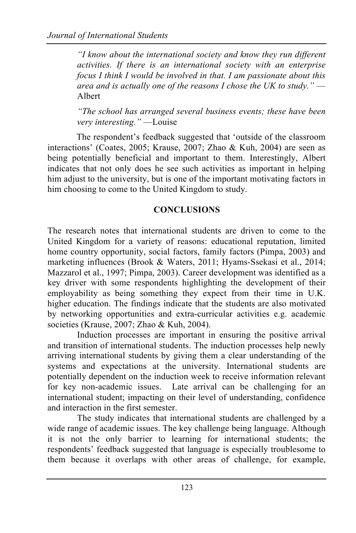*"I know about the international society and know they run different activities. If there is an international society with an enterprise focus I think I would be involved in that. I am passionate about this area and is actually one of the reasons I chose the UK to study."* — Albert

*"The school has arranged several business events; these have been very interesting."* —Louise

The respondent's feedback suggested that 'outside of the classroom interactions' (Coates, 2005; Krause, 2007; Zhao & Kuh, 2004) are seen as being potentially beneficial and important to them. Interestingly, Albert indicates that not only does he see such activities as important in helping him adjust to the university, but is one of the important motivating factors in him choosing to come to the United Kingdom to study.

#### **CONCLUSIONS**

The research notes that international students are driven to come to the United Kingdom for a variety of reasons: educational reputation, limited home country opportunity, social factors, family factors (Pimpa, 2003) and marketing influences (Brook & Waters, 2011; Hyams-Ssekasi et al., 2014; Mazzarol et al., 1997; Pimpa, 2003). Career development was identified as a key driver with some respondents highlighting the development of their employability as being something they expect from their time in U.K. higher education. The findings indicate that the students are also motivated by networking opportunities and extra-curricular activities e.g. academic societies (Krause, 2007; Zhao & Kuh, 2004).

Induction processes are important in ensuring the positive arrival and transition of international students. The induction processes help newly arriving international students by giving them a clear understanding of the systems and expectations at the university. International students are potentially dependent on the induction week to receive information relevant for key non-academic issues. Late arrival can be challenging for an international student; impacting on their level of understanding, confidence and interaction in the first semester.

The study indicates that international students are challenged by a wide range of academic issues. The key challenge being language. Although it is not the only barrier to learning for international students; the respondents' feedback suggested that language is especially troublesome to them because it overlaps with other areas of challenge, for example,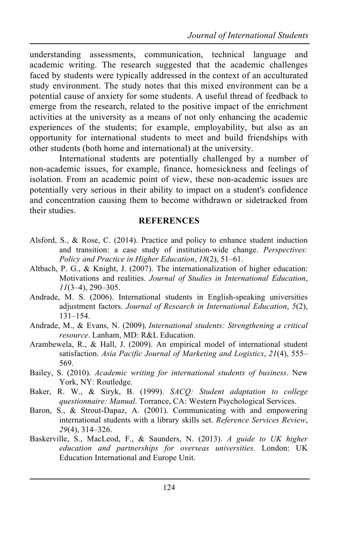understanding assessments, communication, technical language and academic writing. The research suggested that the academic challenges faced by students were typically addressed in the context of an acculturated study environment. The study notes that this mixed environment can be a potential cause of anxiety for some students. A useful thread of feedback to emerge from the research, related to the positive impact of the enrichment activities at the university as a means of not only enhancing the academic experiences of the students; for example, employability, but also as an opportunity for international students to meet and build friendships with other students (both home and international) at the university.

International students are potentially challenged by a number of non-academic issues, for example, finance, homesickness and feelings of isolation. From an academic point of view, these non-academic issues are potentially very serious in their ability to impact on a student's confidence and concentration causing them to become withdrawn or sidetracked from their studies.

#### **REFERENCES**

- Alsford, S., & Rose, C. (2014). Practice and policy to enhance student induction and transition: a case study of institution-wide change. *Perspectives: Policy and Practice in Higher Education*, *18*(2), 51–61.
- Altbach, P. G., & Knight, J. (2007). The internationalization of higher education: Motivations and realities. *Journal of Studies in International Education*, *11*(3–4), 290–305.
- Andrade, M. S. (2006). International students in English-speaking universities adjustment factors. *Journal of Research in International Education*, *5*(2), 131–154.
- Andrade, M., & Evans, N. (2009). *International students: Strengthening a critical resource*. Lanham, MD: R&L Education.
- Arambewela, R., & Hall, J. (2009). An empirical model of international student satisfaction. *Asia Pacific Journal of Marketing and Logistics*, *21*(4), 555– 569.
- Bailey, S. (2010). *Academic writing for international students of business*. New York, NY: Routledge.
- Baker, R. W., & Siryk, B. (1999). *SACQ: Student adaptation to college questionnaire: Manual*. Torrance, CA: Western Psychological Services.
- Baron, S., & Strout-Dapaz, A. (2001). Communicating with and empowering international students with a library skills set. *Reference Services Review*, *29*(4), 314–326.
- Baskerville, S., MacLeod, F., & Saunders, N. (2013). *A guide to UK higher education and partnerships for overseas universities.* London: UK Education International and Europe Unit.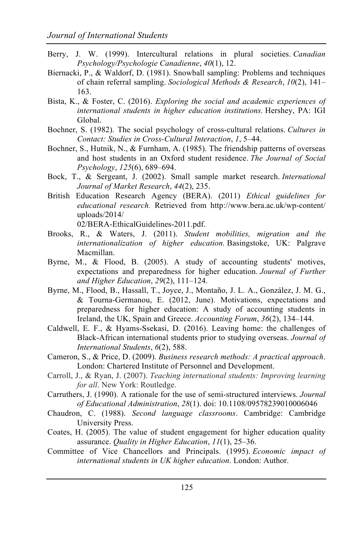- Berry, J. W. (1999). Intercultural relations in plural societies. *Canadian Psychology/Psychologie Canadienne*, *40*(1), 12.
- Biernacki, P., & Waldorf, D. (1981). Snowball sampling: Problems and techniques of chain referral sampling. *Sociological Methods & Research*, *10*(2), 141– 163.
- Bista, K., & Foster, C. (2016). *Exploring the social and academic experiences of international students in higher education institutions.* Hershey, PA: IGI Global.
- Bochner, S. (1982). The social psychology of cross-cultural relations. *Cultures in Contact: Studies in Cross-Cultural Interaction*, *1*, 5–44.
- Bochner, S., Hutnik, N., & Furnham, A. (1985). The friendship patterns of overseas and host students in an Oxford student residence. *The Journal of Social Psychology*, *125*(6), 689–694.
- Bock, T., & Sergeant, J. (2002). Small sample market research. *International Journal of Market Research*, *44*(2), 235.
- British Education Research Agency (BERA). (2011) *Ethical guidelines for educational research.* Retrieved from http://www.bera.ac.uk/wp-content/ uploads/2014/

02/BERA-EthicalGuidelines-2011.pdf.

- Brooks, R., & Waters, J. (2011). *Student mobilities, migration and the internationalization of higher education.* Basingstoke, UK: Palgrave Macmillan.
- Byrne, M., & Flood, B. (2005). A study of accounting students' motives, expectations and preparedness for higher education. *Journal of Further and Higher Education*, *29*(2), 111–124.
- Byrne, M., Flood, B., Hassall, T., Joyce, J., Montaño, J. L. A., González, J. M. G., & Tourna-Germanou, E. (2012, June). Motivations, expectations and preparedness for higher education: A study of accounting students in Ireland, the UK, Spain and Greece. *Accounting Forum*, *36*(2), 134–144.
- Caldwell, E. F., & Hyams-Ssekasi, D. (2016). Leaving home: the challenges of Black-African international students prior to studying overseas. *Journal of International Students*, *6*(2), 588.
- Cameron, S., & Price, D. (2009). *Business research methods: A practical approach*. London: Chartered Institute of Personnel and Development.
- Carroll, J., & Ryan, J. (2007). *Teaching international students: Improving learning for all*. New York: Routledge.
- Carruthers, J. (1990). A rationale for the use of semi-structured interviews. *Journal of Educational Administration*, *28*(1). doi: 10.1108/09578239010006046
- Chaudron, C. (1988). *Second language classrooms*. Cambridge: Cambridge University Press.
- Coates, H. (2005). The value of student engagement for higher education quality assurance. *Quality in Higher Education*, *11*(1), 25–36.
- Committee of Vice Chancellors and Principals. (1995). *Economic impact of international students in UK higher education*. London: Author.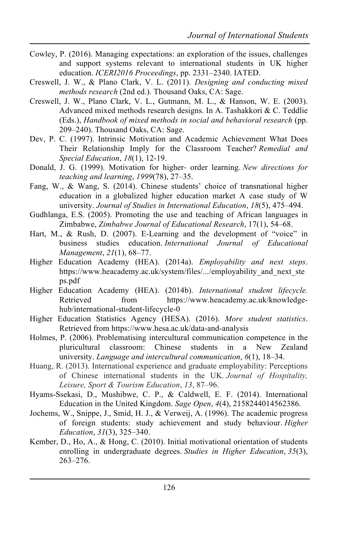- Cowley, P. (2016). Managing expectations: an exploration of the issues, challenges and support systems relevant to international students in UK higher education. *ICERI2016 Proceedings*, pp. 2331–2340. IATED.
- Creswell, J. W., & Plano Clark, V. L. (2011). *Designing and conducting mixed methods research* (2nd ed.). Thousand Oaks, CA: Sage.
- Creswell, J. W., Plano Clark, V. L., Gutmann, M. L., & Hanson, W. E. (2003). Advanced mixed methods research designs. In A. Tashakkori & C. Teddlie (Eds.), *Handbook of mixed methods in social and behavioral research* (pp. 209–240). Thousand Oaks, CA: Sage.
- Dev, P. C. (1997). Intrinsic Motivation and Academic Achievement What Does Their Relationship Imply for the Classroom Teacher? *Remedial and Special Education*, *18*(1), 12-19.
- Donald, J. G. (1999). Motivation for higher- order learning. *New directions for teaching and learning*, *1999*(78), 27–35.
- Fang, W., & Wang, S. (2014). Chinese students' choice of transnational higher education in a globalized higher education market A case study of W university. *Journal of Studies in International Education*, *18*(5), 475–494.
- Gudhlanga, E.S. (2005). Promoting the use and teaching of African languages in Zimbabwe, *Zimbabwe Journal of Educational Research*, 17(1), 54–68.
- Hart, M., & Rush, D. (2007). E-Learning and the development of "voice" in business studies education. *International Journal of Educational Management*, *21*(1), 68–77.
- Higher Education Academy (HEA). (2014a). *Employability and next steps*. https://www.heacademy.ac.uk/system/files/.../employability\_and\_next\_ste ps.pdf
- Higher Education Academy (HEA). (2014b). *International student lifecycle.*  Retrieved from https://www.heacademy.ac.uk/knowledgehub/international-student-lifecycle-0
- Higher Education Statistics Agency (HESA). (2016). *More student statistics*. Retrieved from https://www.hesa.ac.uk/data-and-analysis
- Holmes, P. (2006). Problematising intercultural communication competence in the pluricultural classroom: Chinese students in a New Zealand university. *Language and intercultural communication*, *6*(1), 18–34.
- Huang, R. (2013). International experience and graduate employability: Perceptions of Chinese international students in the UK. *Journal of Hospitality, Leisure, Sport & Tourism Education*, *13*, 87–96.
- Hyams-Ssekasi, D., Mushibwe, C. P., & Caldwell, E. F. (2014). International Education in the United Kingdom. *Sage Open*, *4*(4), 2158244014562386.
- Jochems, W., Snippe, J., Smid, H. J., & Verweij, A. (1996). The academic progress of foreign students: study achievement and study behaviour. *Higher Education*, *31*(3), 325–340.
- Kember, D., Ho, A., & Hong, C. (2010). Initial motivational orientation of students enrolling in undergraduate degrees. *Studies in Higher Education*, *35*(3), 263–276.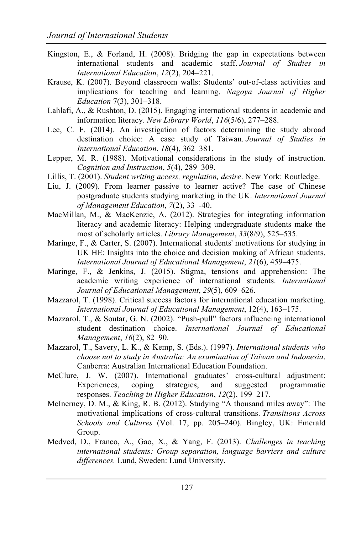- Kingston, E., & Forland, H. (2008). Bridging the gap in expectations between international students and academic staff. *Journal of Studies in International Education*, *12*(2), 204–221.
- Krause, K. (2007). Beyond classroom walls: Students' out-of-class activities and implications for teaching and learning. *Nagoya Journal of Higher Education* 7(3), 301–318.
- Lahlafi, A., & Rushton, D. (2015). Engaging international students in academic and information literacy. *New Library World*, *116*(5/6), 277–288.
- Lee, C. F. (2014). An investigation of factors determining the study abroad destination choice: A case study of Taiwan. *Journal of Studies in International Education*, *18*(4), 362–381.
- Lepper, M. R. (1988). Motivational considerations in the study of instruction. *Cognition and Instruction*, *5*(4), 289–309.
- Lillis, T. (2001). *Student writing access, regulation, desire*. New York: Routledge.
- Liu, J. (2009). From learner passive to learner active? The case of Chinese postgraduate students studying marketing in the UK. *International Journal of Management Education*, *7*(2), 33–-40.
- MacMillan, M., & MacKenzie, A. (2012). Strategies for integrating information literacy and academic literacy: Helping undergraduate students make the most of scholarly articles. *Library Management*, *33*(8/9), 525–535.
- Maringe, F., & Carter, S. (2007). International students' motivations for studying in UK HE: Insights into the choice and decision making of African students. *International Journal of Educational Management*, *21*(6), 459–475.
- Maringe, F., & Jenkins, J. (2015). Stigma, tensions and apprehension: The academic writing experience of international students. *International Journal of Educational Management*, *29*(5), 609–626.
- Mazzarol, T. (1998). Critical success factors for international education marketing. *International Journal of Educational Management*, 12(4), 163–175.
- Mazzarol, T., & Soutar, G. N. (2002). "Push-pull" factors influencing international student destination choice. *International Journal of Educational Management*, *16*(2), 82–90.
- Mazzarol, T., Savery, L. K., & Kemp, S. (Eds.). (1997). *International students who choose not to study in Australia: An examination of Taiwan and Indonesia*. Canberra: Australian International Education Foundation.
- McClure, J. W. (2007). International graduates' cross-cultural adjustment: Experiences, coping strategies, and suggested programmatic responses. *Teaching in Higher Education*, *12*(2), 199–217.
- McInerney, D. M., & King, R. B. (2012). Studying "A thousand miles away": The motivational implications of cross-cultural transitions. *Transitions Across Schools and Cultures* (Vol. 17, pp. 205–240). Bingley, UK: Emerald Group.
- Medved, D., Franco, A., Gao, X., & Yang, F. (2013). *Challenges in teaching international students: Group separation, language barriers and culture differences.* Lund, Sweden: Lund University.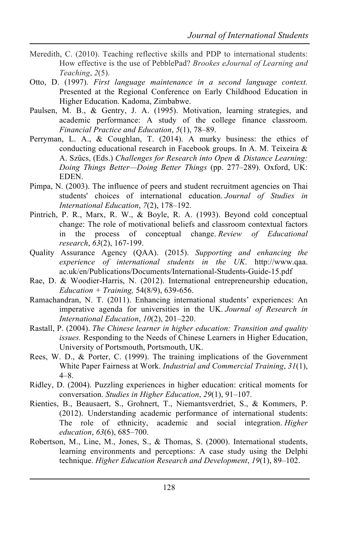- Meredith, C. (2010). Teaching reflective skills and PDP to international students: How effective is the use of PebblePad? *Brookes eJournal of Learning and Teaching*, *2*(5).
- Otto, D. (1997). *First language maintenance in a second language context.* Presented at the Regional Conference on Early Childhood Education in Higher Education. Kadoma, Zimbabwe.
- Paulsen, M. B., & Gentry, J. A. (1995). Motivation, learning strategies, and academic performance: A study of the college finance classroom. *Financial Practice and Education*, *5*(1), 78–89.
- Perryman, L. A., & Coughlan, T. (2014). A murky business: the ethics of conducting educational research in Facebook groups. In A. M. Teixeira & A. Szűcs, (Eds.) *Challenges for Research into Open & Distance Learning: Doing Things Better—Doing Better Things* (pp. 277–289). Oxford, UK: EDEN.
- Pimpa, N. (2003). The influence of peers and student recruitment agencies on Thai students' choices of international education. *Journal of Studies in International Education*, *7*(2), 178–192.
- Pintrich, P. R., Marx, R. W., & Boyle, R. A. (1993). Beyond cold conceptual change: The role of motivational beliefs and classroom contextual factors in the process of conceptual change. *Review of Educational research*, *63*(2), 167-199.
- Quality Assurance Agency (QAA). (2015). *Supporting and enhancing the experience of international students in the UK*. http://www.qaa. ac.uk/en/Publications/Documents/International-Students-Guide-15.pdf
- Rae, D. & Woodier-Harris, N. (2012). International entrepreneurship education, *Education + Training,* 54(8/9), 639-656.
- Ramachandran, N. T. (2011). Enhancing international students' experiences: An imperative agenda for universities in the UK. *Journal of Research in International Education*, *10*(2), 201–220.
- Rastall, P. (2004). *The Chinese learner in higher education: Transition and quality issues.* Responding to the Needs of Chinese Learners in Higher Education, University of Portsmouth, Portsmouth, UK.
- Rees, W. D., & Porter, C. (1999). The training implications of the Government White Paper Fairness at Work. *Industrial and Commercial Training*, *31*(1), 4–8.
- Ridley, D. (2004). Puzzling experiences in higher education: critical moments for conversation. *Studies in Higher Education*, *29*(1), 91–107.
- Rienties, B., Beausaert, S., Grohnert, T., Niemantsverdriet, S., & Kommers, P. (2012). Understanding academic performance of international students: The role of ethnicity, academic and social integration. *Higher education*, *63*(6), 685–700.
- Robertson, M., Line, M., Jones, S., & Thomas, S. (2000). International students, learning environments and perceptions: A case study using the Delphi technique. *Higher Education Research and Development*, *19*(1), 89–102.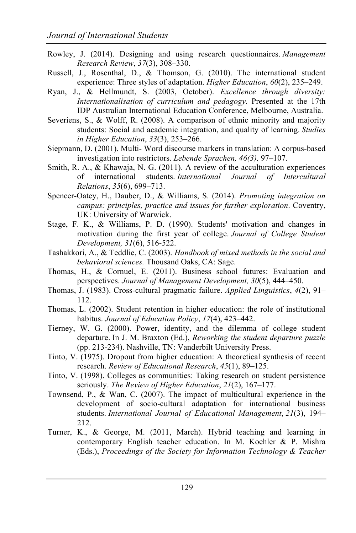- Rowley, J. (2014). Designing and using research questionnaires. *Management Research Review*, *37*(3), 308–330.
- Russell, J., Rosenthal, D., & Thomson, G. (2010). The international student experience: Three styles of adaptation. *Higher Education*, *60*(2), 235–249.
- Ryan, J., & Hellmundt, S. (2003, October). *Excellence through diversity: Internationalisation of curriculum and pedagogy.* Presented at the 17th IDP Australian International Education Conference, Melbourne, Australia.
- Severiens, S., & Wolff, R. (2008). A comparison of ethnic minority and majority students: Social and academic integration, and quality of learning. *Studies in Higher Education*, *33*(3), 253–266.
- Siepmann, D. (2001). Multi- Word discourse markers in translation: A corpus-based investigation into restrictors. *Lebende Sprachen, 46(3),* 97–107.
- Smith, R. A., & Khawaja, N. G. (2011). A review of the acculturation experiences of international students. *International Journal of Intercultural Relations*, *35*(6), 699–713.
- Spencer-Oatey, H., Dauber, D., & Williams, S. (2014). *Promoting integration on campus: principles, practice and issues for further exploration*. Coventry, UK: University of Warwick.
- Stage, F. K., & Williams, P. D. (1990). Students' motivation and changes in motivation during the first year of college. *Journal of College Student Development, 31*(6), 516-522.
- Tashakkori, A., & Teddlie, C. (2003). *Handbook of mixed methods in the social and behavioral sciences.* Thousand Oaks, CA: Sage.
- Thomas, H., & Cornuel, E. (2011). Business school futures: Evaluation and perspectives. *Journal of Management Development, 30*(5), 444–450.
- Thomas, J. (1983). Cross-cultural pragmatic failure. *Applied Linguistics*, *4*(2), 91– 112.
- Thomas, L. (2002). Student retention in higher education: the role of institutional habitus. *Journal of Education Policy*, *17*(4), 423–442.
- Tierney, W. G. (2000). Power, identity, and the dilemma of college student departure. In J. M. Braxton (Ed.), *Reworking the student departure puzzle* (pp. 213-234). Nashville, TN: Vanderbilt University Press.
- Tinto, V. (1975). Dropout from higher education: A theoretical synthesis of recent research. *Review of Educational Research*, *45*(1), 89–125.
- Tinto, V. (1998). Colleges as communities: Taking research on student persistence seriously. *The Review of Higher Education*, *21*(2), 167–177.
- Townsend, P., & Wan, C. (2007). The impact of multicultural experience in the development of socio-cultural adaptation for international business students. *International Journal of Educational Management*, *21*(3), 194– 212.
- Turner, K., & George, M. (2011, March). Hybrid teaching and learning in contemporary English teacher education. In M. Koehler & P. Mishra (Eds.), *Proceedings of the Society for Information Technology & Teacher*